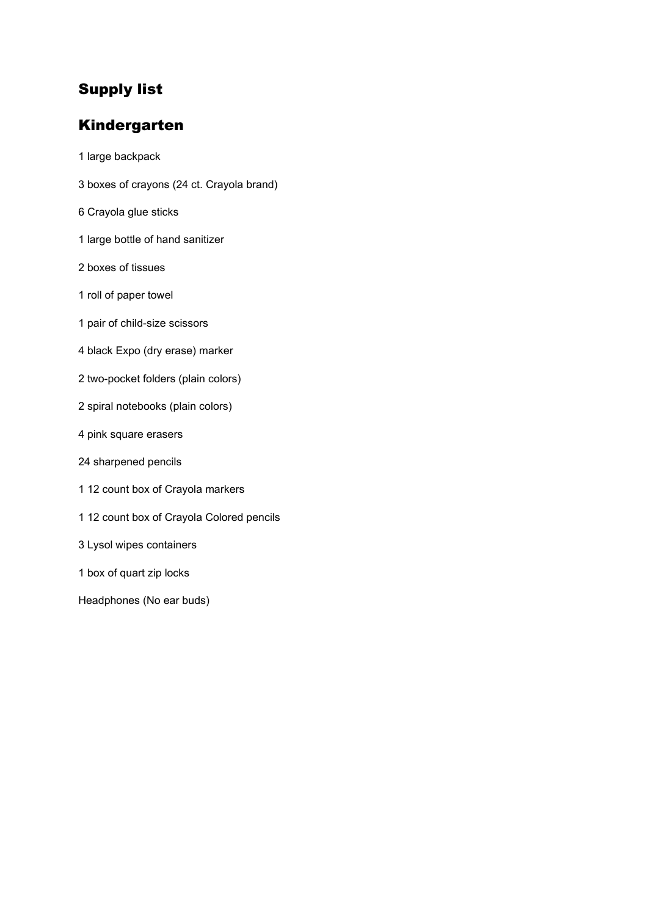# Supply list

# Kindergarten

1 large backpack 3 boxes of crayons (24 ct. Crayola brand) 6 Crayola glue sticks 1 large bottle of hand sanitizer 2 boxes of tissues 1 roll of paper towel 1 pair of child-size scissors 4 black Expo (dry erase) marker 2 two-pocket folders (plain colors) 2 spiral notebooks (plain colors) 4 pink square erasers 24 sharpened pencils 1 12 count box of Crayola markers 1 12 count box of Crayola Colored pencils 3 Lysol wipes containers 1 box of quart zip locks Headphones (No ear buds)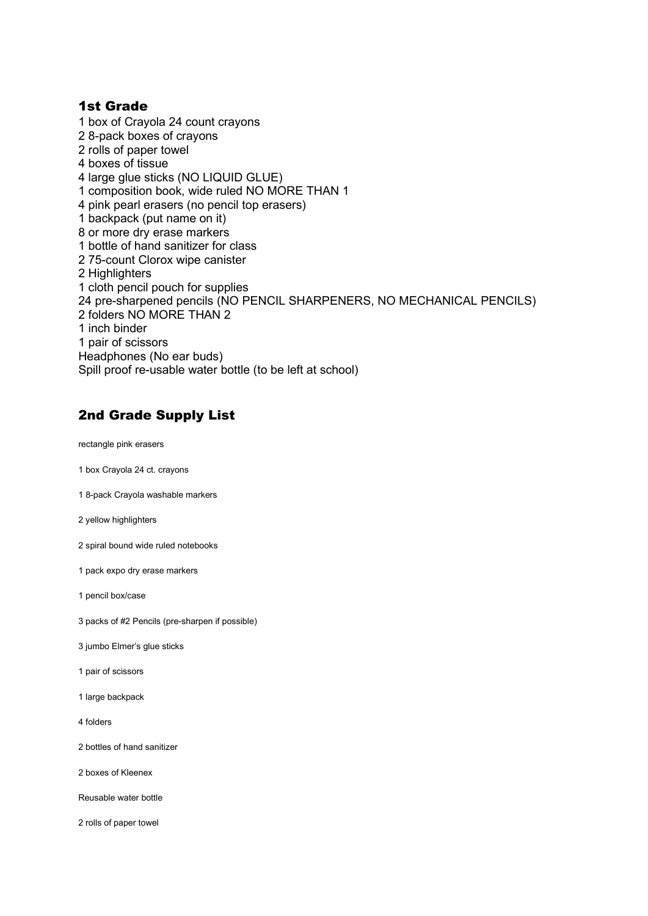#### 1st Grade

1 box of Crayola 24 count crayons 2 8-pack boxes of crayons 2 rolls of paper towel 4 boxes of tissue 4 large glue sticks (NO LIQUID GLUE) 1 composition book, wide ruled NO MORE THAN 1 4 pink pearl erasers (no pencil top erasers) 1 backpack (put name on it) 8 or more dry erase markers 1 bottle of hand sanitizer for class 2 75-count Clorox wipe canister 2 Highlighters 1 cloth pencil pouch for supplies 24 pre-sharpened pencils (NO PENCIL SHARPENERS, NO MECHANICAL PENCILS) 2 folders NO MORE THAN 2 1 inch binder 1 pair of scissors Headphones (No ear buds) Spill proof re-usable water bottle (to be left at school)

## 2nd Grade Supply List

rectangle pink erasers

- 1 box Crayola 24 ct. crayons
- 1 8-pack Crayola washable markers
- 2 yellow highlighters
- 2 spiral bound wide ruled notebooks
- 1 pack expo dry erase markers
- 1 pencil box/case
- 3 packs of #2 Pencils (pre-sharpen if possible)
- 3 jumbo Elmer's glue sticks
- 1 pair of scissors
- 1 large backpack
- 4 folders
- 2 bottles of hand sanitizer
- 2 boxes of Kleenex
- Reusable water bottle
- 2 rolls of paper towel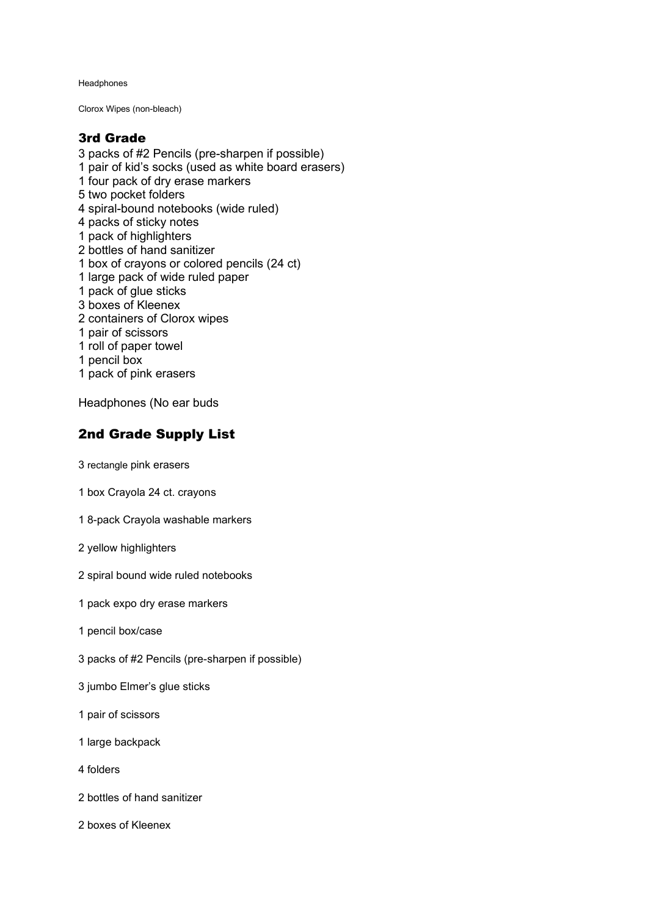Headphones

Clorox Wipes (non-bleach)

#### 3rd Grade

3 packs of #2 Pencils (pre-sharpen if possible) 1 pair of kid's socks (used as white board erasers) 1 four pack of dry erase markers 5 two pocket folders 4 spiral-bound notebooks (wide ruled) 4 packs of sticky notes 1 pack of highlighters 2 bottles of hand sanitizer 1 box of crayons or colored pencils (24 ct) 1 large pack of wide ruled paper 1 pack of glue sticks 3 boxes of Kleenex 2 containers of Clorox wipes 1 pair of scissors 1 roll of paper towel 1 pencil box 1 pack of pink erasers

Headphones (No ear buds

## 2nd Grade Supply List

3 rectangle pink erasers

- 1 box Crayola 24 ct. crayons
- 1 8-pack Crayola washable markers
- 2 yellow highlighters
- 2 spiral bound wide ruled notebooks
- 1 pack expo dry erase markers
- 1 pencil box/case
- 3 packs of #2 Pencils (pre-sharpen if possible)
- 3 jumbo Elmer's glue sticks
- 1 pair of scissors
- 1 large backpack
- 4 folders
- 2 bottles of hand sanitizer
- 2 boxes of Kleenex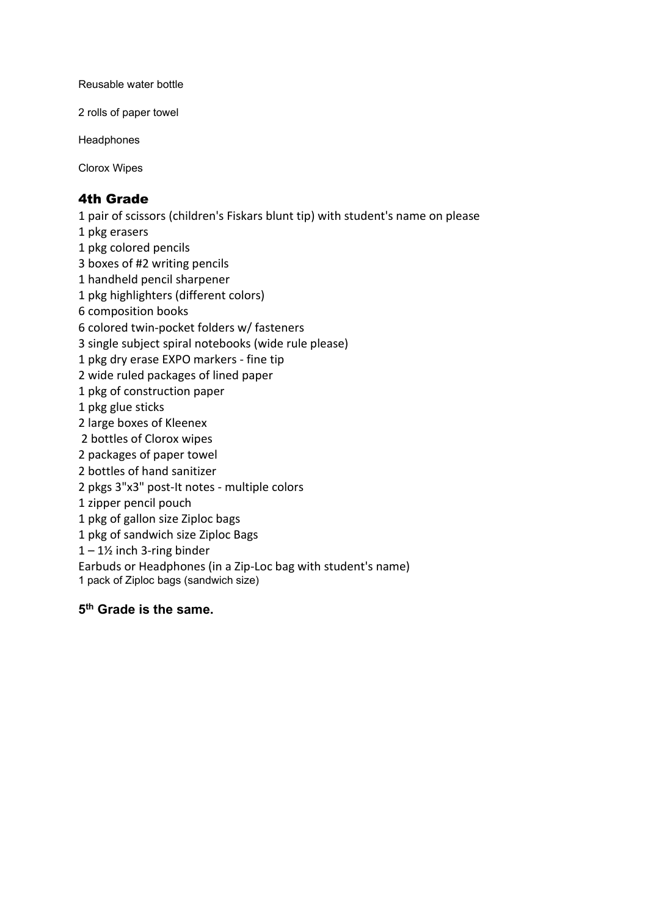Reusable water bottle

2 rolls of paper towel

Headphones

Clorox Wipes

### 4th Grade

1 pair of scissors (children's Fiskars blunt tip) with student's name on please

- 1 pkg erasers
- 1 pkg colored pencils
- 3 boxes of #2 writing pencils
- 1 handheld pencil sharpener
- 1 pkg highlighters (different colors)
- 6 composition books
- 6 colored twin-pocket folders w/ fasteners
- 3 single subject spiral notebooks (wide rule please)
- 1 pkg dry erase EXPO markers fine tip
- 2 wide ruled packages of lined paper
- 1 pkg of construction paper
- 1 pkg glue sticks
- 2 large boxes of Kleenex
- 2 bottles of Clorox wipes
- 2 packages of paper towel
- 2 bottles of hand sanitizer
- 2 pkgs 3"x3" post-It notes multiple colors
- 1 zipper pencil pouch
- 1 pkg of gallon size Ziploc bags
- 1 pkg of sandwich size Ziploc Bags
- $1 1$ <sup>'</sup> inch 3-ring binder
- Earbuds or Headphones (in a Zip-Loc bag with student's name)
- 1 pack of Ziploc bags (sandwich size)

### **5th Grade is the same.**